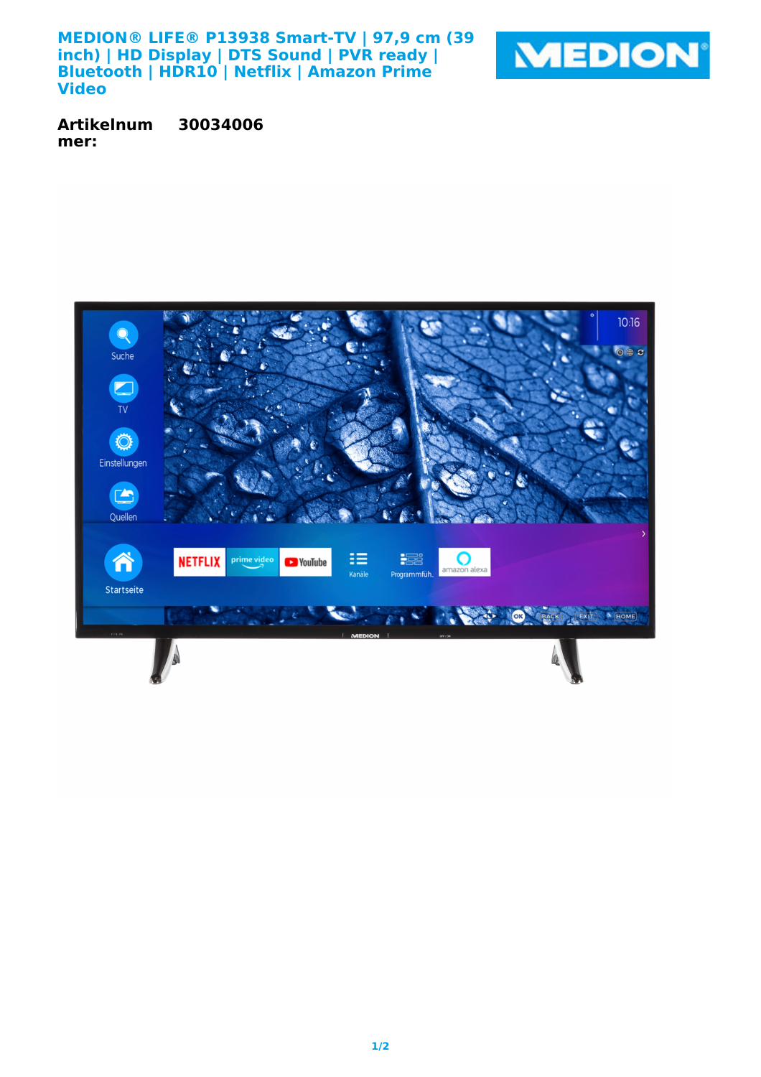**MEDION® LIFE® P13938 Smart-TV | 97,9 cm (39 inch) | HD Display | DTS Sound | PVR ready | Bluetooth | HDR10 | Netflix | Amazon Prime Video**



**Artikelnum mer: 30034006**